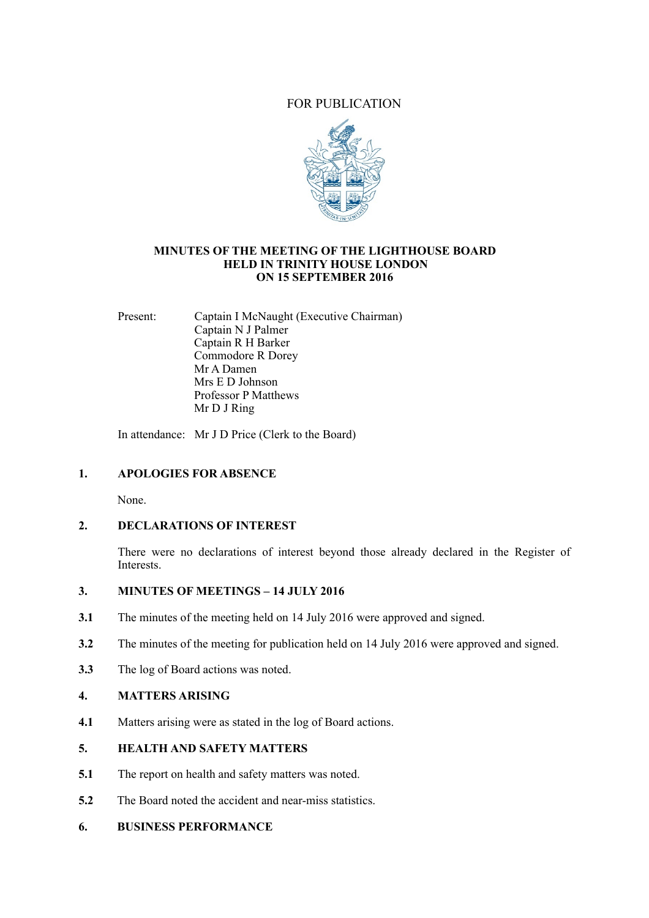# FOR PUBLICATION



#### **MINUTES OF THE MEETING OF THE LIGHTHOUSE BOARD HELD IN TRINITY HOUSE LONDON ON 15 SEPTEMBER 2016**

Present: Captain I McNaught (Executive Chairman) Captain N J Palmer Captain R H Barker Commodore R Dorey Mr A Damen Mrs E D Johnson Professor P Matthews Mr D J Ring

In attendance: Mr J D Price (Clerk to the Board)

# **1. APOLOGIES FOR ABSENCE**

None.

# **2. DECLARATIONS OF INTEREST**

There were no declarations of interest beyond those already declared in the Register of Interests.

# **3. MINUTES OF MEETINGS – 14 JULY 2016**

- **3.1** The minutes of the meeting held on 14 July 2016 were approved and signed.
- **3.2** The minutes of the meeting for publication held on 14 July 2016 were approved and signed.
- **3.3** The log of Board actions was noted.

## **4. MATTERS ARISING**

**4.1** Matters arising were as stated in the log of Board actions.

# **5. HEALTH AND SAFETY MATTERS**

- **5.1** The report on health and safety matters was noted.
- **5.2** The Board noted the accident and near-miss statistics.

# **6. BUSINESS PERFORMANCE**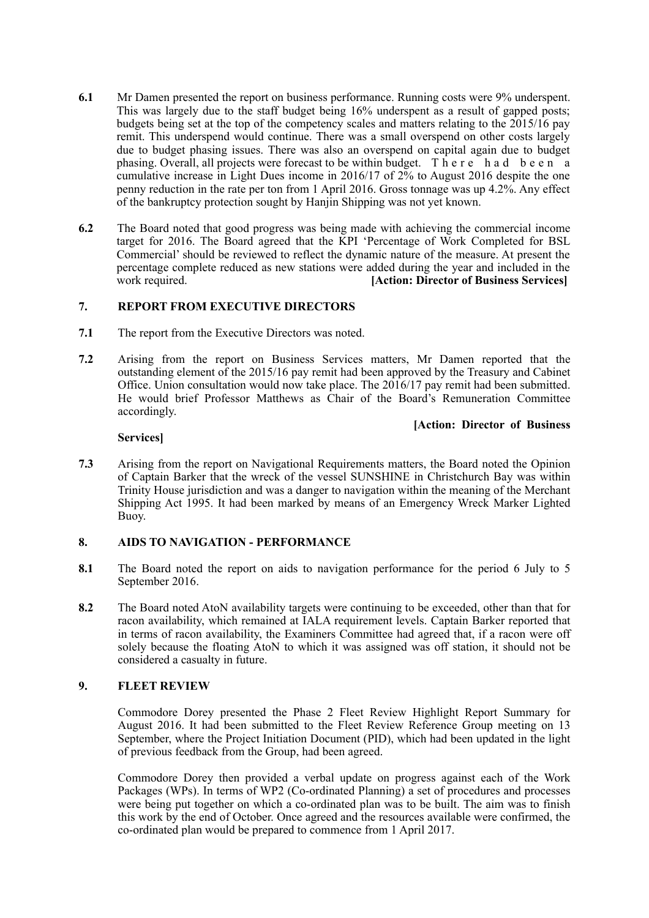- **6.1** Mr Damen presented the report on business performance. Running costs were 9% underspent. This was largely due to the staff budget being 16% underspent as a result of gapped posts; budgets being set at the top of the competency scales and matters relating to the 2015/16 pay remit. This underspend would continue. There was a small overspend on other costs largely due to budget phasing issues. There was also an overspend on capital again due to budget phasing. Overall, all projects were forecast to be within budget. T h e r e h a d b e e n a cumulative increase in Light Dues income in 2016/17 of 2% to August 2016 despite the one penny reduction in the rate per ton from 1 April 2016. Gross tonnage was up 4.2%. Any effect of the bankruptcy protection sought by Hanjin Shipping was not yet known.
- **6.2** The Board noted that good progress was being made with achieving the commercial income target for 2016. The Board agreed that the KPI 'Percentage of Work Completed for BSL Commercial' should be reviewed to reflect the dynamic nature of the measure. At present the percentage complete reduced as new stations were added during the year and included in the work required. **[Action: Director of Business Services]**

## **7. REPORT FROM EXECUTIVE DIRECTORS**

- **7.1** The report from the Executive Directors was noted.
- **7.2** Arising from the report on Business Services matters, Mr Damen reported that the outstanding element of the 2015/16 pay remit had been approved by the Treasury and Cabinet Office. Union consultation would now take place. The 2016/17 pay remit had been submitted. He would brief Professor Matthews as Chair of the Board's Remuneration Committee accordingly.

## **[Action: Director of Business**

#### **Services]**

**7.3** Arising from the report on Navigational Requirements matters, the Board noted the Opinion of Captain Barker that the wreck of the vessel SUNSHINE in Christchurch Bay was within Trinity House jurisdiction and was a danger to navigation within the meaning of the Merchant Shipping Act 1995. It had been marked by means of an Emergency Wreck Marker Lighted Buoy.

## **8. AIDS TO NAVIGATION - PERFORMANCE**

- **8.1** The Board noted the report on aids to navigation performance for the period 6 July to 5 September 2016.
- **8.2** The Board noted AtoN availability targets were continuing to be exceeded, other than that for racon availability, which remained at IALA requirement levels. Captain Barker reported that in terms of racon availability, the Examiners Committee had agreed that, if a racon were off solely because the floating AtoN to which it was assigned was off station, it should not be considered a casualty in future.

## **9. FLEET REVIEW**

Commodore Dorey presented the Phase 2 Fleet Review Highlight Report Summary for August 2016. It had been submitted to the Fleet Review Reference Group meeting on 13 September, where the Project Initiation Document (PID), which had been updated in the light of previous feedback from the Group, had been agreed.

 Commodore Dorey then provided a verbal update on progress against each of the Work Packages (WPs). In terms of WP2 (Co-ordinated Planning) a set of procedures and processes were being put together on which a co-ordinated plan was to be built. The aim was to finish this work by the end of October. Once agreed and the resources available were confirmed, the co-ordinated plan would be prepared to commence from 1 April 2017.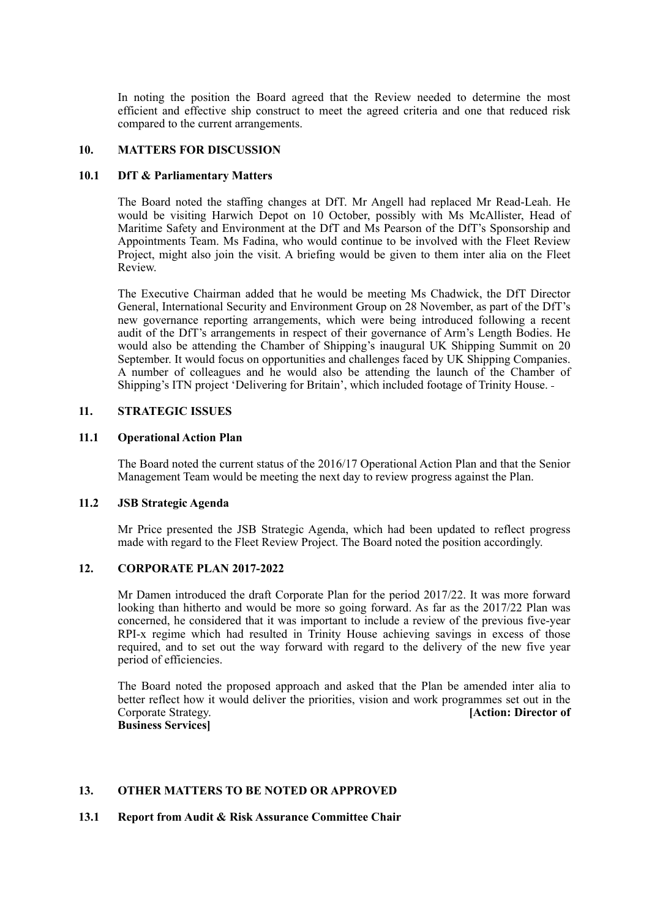In noting the position the Board agreed that the Review needed to determine the most efficient and effective ship construct to meet the agreed criteria and one that reduced risk compared to the current arrangements.

#### **10. MATTERS FOR DISCUSSION**

### **10.1 DfT & Parliamentary Matters**

The Board noted the staffing changes at DfT. Mr Angell had replaced Mr Read-Leah. He would be visiting Harwich Depot on 10 October, possibly with Ms McAllister, Head of Maritime Safety and Environment at the DfT and Ms Pearson of the DfT's Sponsorship and Appointments Team. Ms Fadina, who would continue to be involved with the Fleet Review Project, might also join the visit. A briefing would be given to them inter alia on the Fleet Review.

 The Executive Chairman added that he would be meeting Ms Chadwick, the DfT Director General, International Security and Environment Group on 28 November, as part of the DfT's new governance reporting arrangements, which were being introduced following a recent audit of the DfT's arrangements in respect of their governance of Arm's Length Bodies. He would also be attending the Chamber of Shipping's inaugural UK Shipping Summit on 20 September. It would focus on opportunities and challenges faced by UK Shipping Companies. A number of colleagues and he would also be attending the launch of the Chamber of Shipping's ITN project 'Delivering for Britain', which included footage of Trinity House.

### **11. STRATEGIC ISSUES**

#### **11.1 Operational Action Plan**

The Board noted the current status of the 2016/17 Operational Action Plan and that the Senior Management Team would be meeting the next day to review progress against the Plan.

#### **11.2 JSB Strategic Agenda**

Mr Price presented the JSB Strategic Agenda, which had been updated to reflect progress made with regard to the Fleet Review Project. The Board noted the position accordingly.

#### **12. CORPORATE PLAN 2017-2022**

Mr Damen introduced the draft Corporate Plan for the period 2017/22. It was more forward looking than hitherto and would be more so going forward. As far as the 2017/22 Plan was concerned, he considered that it was important to include a review of the previous five-year RPI-x regime which had resulted in Trinity House achieving savings in excess of those required, and to set out the way forward with regard to the delivery of the new five year period of efficiencies.

 The Board noted the proposed approach and asked that the Plan be amended inter alia to better reflect how it would deliver the priorities, vision and work programmes set out in the Corporate Strategy. **[Action: Director of Business Services]** 

## **13. OTHER MATTERS TO BE NOTED OR APPROVED**

#### **13.1 Report from Audit & Risk Assurance Committee Chair**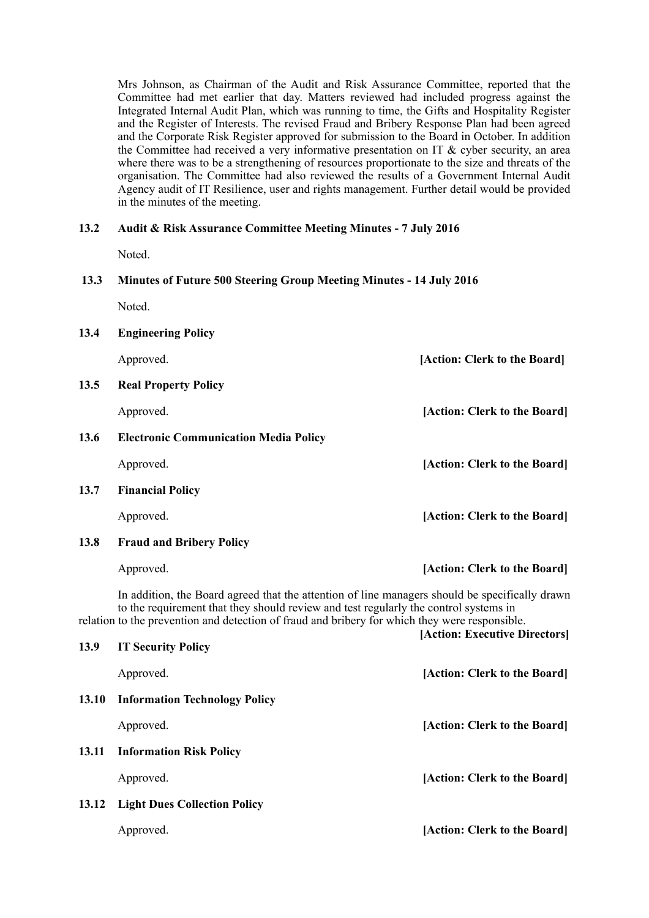Mrs Johnson, as Chairman of the Audit and Risk Assurance Committee, reported that the Committee had met earlier that day. Matters reviewed had included progress against the Integrated Internal Audit Plan, which was running to time, the Gifts and Hospitality Register and the Register of Interests. The revised Fraud and Bribery Response Plan had been agreed and the Corporate Risk Register approved for submission to the Board in October. In addition the Committee had received a very informative presentation on IT & cyber security, an area where there was to be a strengthening of resources proportionate to the size and threats of the organisation. The Committee had also reviewed the results of a Government Internal Audit Agency audit of IT Resilience, user and rights management. Further detail would be provided in the minutes of the meeting.

# **13.2 Audit & Risk Assurance Committee Meeting Minutes - 7 July 2016**

Noted.

### **13.3 Minutes of Future 500 Steering Group Meeting Minutes - 14 July 2016**

Noted.

| 13.4 | <b>Engineering Policy</b>                                                                                                                                                                                                                                                                |                              |
|------|------------------------------------------------------------------------------------------------------------------------------------------------------------------------------------------------------------------------------------------------------------------------------------------|------------------------------|
|      | Approved.                                                                                                                                                                                                                                                                                | [Action: Clerk to the Board] |
| 13.5 | <b>Real Property Policy</b>                                                                                                                                                                                                                                                              |                              |
|      | Approved.                                                                                                                                                                                                                                                                                | [Action: Clerk to the Board] |
| 13.6 | <b>Electronic Communication Media Policy</b>                                                                                                                                                                                                                                             |                              |
|      | Approved.                                                                                                                                                                                                                                                                                | [Action: Clerk to the Board] |
| 13.7 | <b>Financial Policy</b>                                                                                                                                                                                                                                                                  |                              |
|      | Approved.                                                                                                                                                                                                                                                                                | [Action: Clerk to the Board] |
| 13.8 | <b>Fraud and Bribery Policy</b>                                                                                                                                                                                                                                                          |                              |
|      | Approved.                                                                                                                                                                                                                                                                                | [Action: Clerk to the Board] |
|      | In addition, the Board agreed that the attention of line managers should be specifically drawn<br>to the requirement that they should review and test regularly the control systems in<br>relation to the prevention and detection of fraud and bribery for which they were responsible. |                              |

| 13.9 | <b>IT Security Policy</b>           | [Action: Executive Directors] |
|------|-------------------------------------|-------------------------------|
|      | Approved.                           | [Action: Clerk to the Board]  |
|      | 13.10 Information Technology Policy |                               |
|      | Approved.                           | [Action: Clerk to the Board]  |
|      | 13.11 Information Risk Policy       |                               |
|      | Approved.                           | [Action: Clerk to the Board]  |
|      | 13.12 Light Dues Collection Policy  |                               |
|      | Approved.                           | [Action: Clerk to the Board]  |